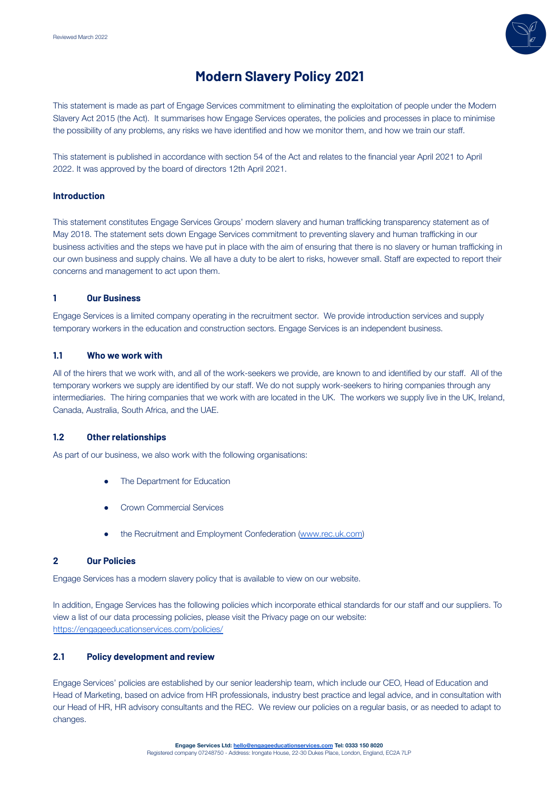

# **Modern Slavery Policy 2021**

This statement is made as part of Engage Services commitment to eliminating the exploitation of people under the Modern Slavery Act 2015 (the Act). It summarises how Engage Services operates, the policies and processes in place to minimise the possibility of any problems, any risks we have identified and how we monitor them, and how we train our staff.

This statement is published in accordance with section 54 of the Act and relates to the financial year April 2021 to April 2022. It was approved by the board of directors 12th April 2021.

### **Introduction**

This statement constitutes Engage Services Groups' modern slavery and human trafficking transparency statement as of May 2018. The statement sets down Engage Services commitment to preventing slavery and human trafficking in our business activities and the steps we have put in place with the aim of ensuring that there is no slavery or human trafficking in our own business and supply chains. We all have a duty to be alert to risks, however small. Staff are expected to report their concerns and management to act upon them.

### **1 Our Business**

Engage Services is a limited company operating in the recruitment sector. We provide introduction services and supply temporary workers in the education and construction sectors. Engage Services is an independent business.

### **1.1 Who we work with**

All of the hirers that we work with, and all of the work-seekers we provide, are known to and identified by our staff. All of the temporary workers we supply are identified by our staff. We do not supply work-seekers to hiring companies through any intermediaries. The hiring companies that we work with are located in the UK. The workers we supply live in the UK, Ireland, Canada, Australia, South Africa, and the UAE.

### **1.2 Other relationships**

As part of our business, we also work with the following organisations:

- The Department for Education
- Crown Commercial Services
- the Recruitment and Employment Confederation [\(www.rec.uk.com](http://www.rec.uk.com/))

# **2 Our Policies**

Engage Services has a modern slavery policy that is available to view on our website.

In addition, Engage Services has the following policies which incorporate ethical standards for our staff and our suppliers. To view a list of our data processing policies, please visit the Privacy page on our website: <https://engageeducationservices.com/policies/>

### **2.1 Policy development and review**

Engage Services' policies are established by our senior leadership team, which include our CEO, Head of Education and Head of Marketing, based on advice from HR professionals, industry best practice and legal advice, and in consultation with our Head of HR, HR advisory consultants and the REC. We review our policies on a regular basis, or as needed to adapt to changes.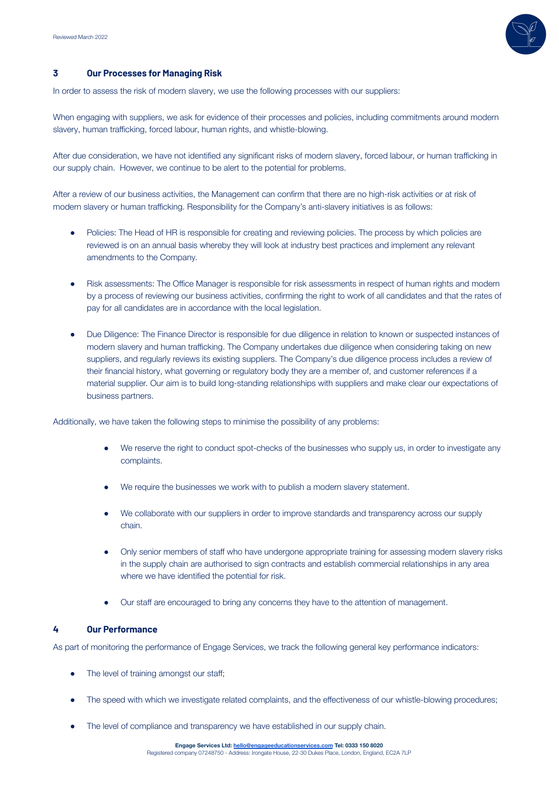

### **3 Our Processes for Managing Risk**

In order to assess the risk of modern slavery, we use the following processes with our suppliers:

When engaging with suppliers, we ask for evidence of their processes and policies, including commitments around modern slavery, human trafficking, forced labour, human rights, and whistle-blowing.

After due consideration, we have not identified any significant risks of modern slavery, forced labour, or human trafficking in our supply chain. However, we continue to be alert to the potential for problems.

After a review of our business activities, the Management can confirm that there are no high-risk activities or at risk of modern slavery or human trafficking. Responsibility for the Company's anti-slavery initiatives is as follows:

- Policies: The Head of HR is responsible for creating and reviewing policies. The process by which policies are reviewed is on an annual basis whereby they will look at industry best practices and implement any relevant amendments to the Company.
- Risk assessments: The Office Manager is responsible for risk assessments in respect of human rights and modern by a process of reviewing our business activities, confirming the right to work of all candidates and that the rates of pay for all candidates are in accordance with the local legislation.
- Due Diligence: The Finance Director is responsible for due diligence in relation to known or suspected instances of modern slavery and human trafficking. The Company undertakes due diligence when considering taking on new suppliers, and regularly reviews its existing suppliers. The Company's due diligence process includes a review of their financial history, what governing or regulatory body they are a member of, and customer references if a material supplier. Our aim is to build long-standing relationships with suppliers and make clear our expectations of business partners.

Additionally, we have taken the following steps to minimise the possibility of any problems:

- We reserve the right to conduct spot-checks of the businesses who supply us, in order to investigate any complaints.
- We require the businesses we work with to publish a modern slavery statement.
- We collaborate with our suppliers in order to improve standards and transparency across our supply chain.
- Only senior members of staff who have undergone appropriate training for assessing modern slavery risks in the supply chain are authorised to sign contracts and establish commercial relationships in any area where we have identified the potential for risk.
- Our staff are encouraged to bring any concerns they have to the attention of management.

### **4 Our Performance**

As part of monitoring the performance of Engage Services, we track the following general key performance indicators:

- The level of training amongst our staff;
- The speed with which we investigate related complaints, and the effectiveness of our whistle-blowing procedures;
- The level of compliance and transparency we have established in our supply chain.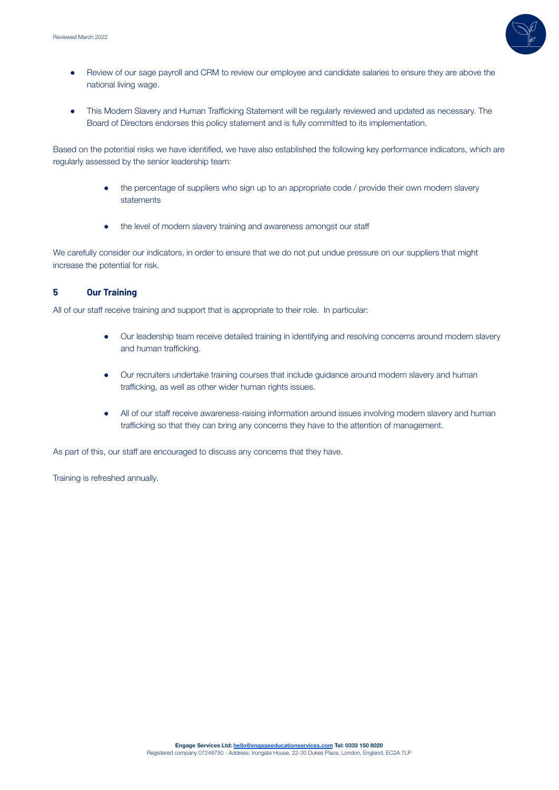

- Review of our sage payroll and CRM to review our employee and candidate salaries to ensure they are above the national living wage.
- This Modern Slavery and Human Trafficking Statement will be regularly reviewed and updated as necessary. The Board of Directors endorses this policy statement and is fully committed to its implementation.

Based on the potential risks we have identified, we have also established the following key performance indicators, which are regularly assessed by the senior leadership team:

- the percentage of suppliers who sign up to an appropriate code / provide their own modern slavery statements
- the level of modern slavery training and awareness amongst our staff

We carefully consider our indicators, in order to ensure that we do not put undue pressure on our suppliers that might increase the potential for risk.

## **5 Our Training**

All of our staff receive training and support that is appropriate to their role. In particular:

- Our leadership team receive detailed training in identifying and resolving concerns around modern slavery and human trafficking.
- Our recruiters undertake training courses that include guidance around modern slavery and human trafficking, as well as other wider human rights issues.
- All of our staff receive awareness-raising information around issues involving modern slavery and human trafficking so that they can bring any concerns they have to the attention of management.

As part of this, our staff are encouraged to discuss any concerns that they have.

Training is refreshed annually.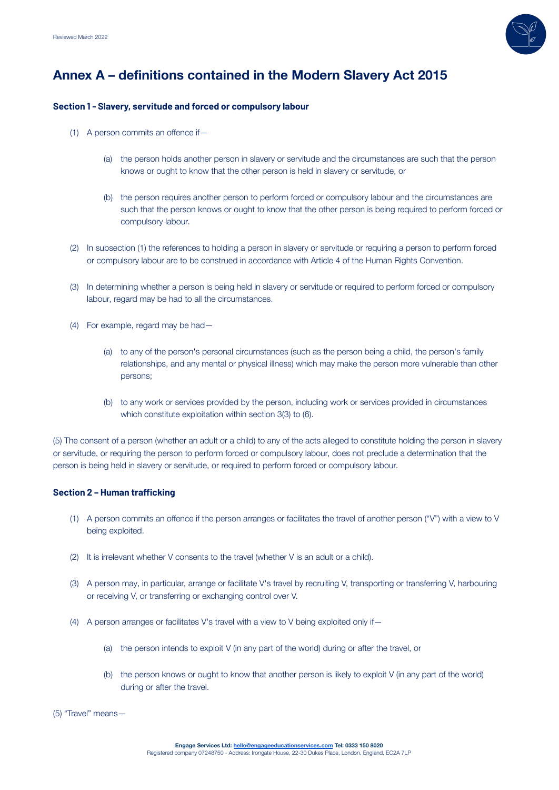

# **Annex A – definitions contained in the Modern Slavery Act 2015**

### **Section 1 - Slavery, servitude and forced or compulsory labour**

- (1) A person commits an offence if—
	- (a) the person holds another person in slavery or servitude and the circumstances are such that the person knows or ought to know that the other person is held in slavery or servitude, or
	- (b) the person requires another person to perform forced or compulsory labour and the circumstances are such that the person knows or ought to know that the other person is being required to perform forced or compulsory labour.
- (2) In subsection (1) the references to holding a person in slavery or servitude or requiring a person to perform forced or compulsory labour are to be construed in accordance with Article 4 of the Human Rights Convention.
- (3) In determining whether a person is being held in slavery or servitude or required to perform forced or compulsory labour, regard may be had to all the circumstances.
- (4) For example, regard may be had—
	- (a) to any of the person's personal circumstances (such as the person being a child, the person's family relationships, and any mental or physical illness) which may make the person more vulnerable than other persons;
	- (b) to any work or services provided by the person, including work or services provided in circumstances which constitute exploitation within section 3(3) to (6).

(5) The consent of a person (whether an adult or a child) to any of the acts alleged to constitute holding the person in slavery or servitude, or requiring the person to perform forced or compulsory labour, does not preclude a determination that the person is being held in slavery or servitude, or required to perform forced or compulsory labour.

### **Section 2 – Human trafficking**

- (1) A person commits an offence if the person arranges or facilitates the travel of another person ("V") with a view to V being exploited.
- (2) It is irrelevant whether V consents to the travel (whether V is an adult or a child).
- (3) A person may, in particular, arrange or facilitate V's travel by recruiting V, transporting or transferring V, harbouring or receiving V, or transferring or exchanging control over V.
- (4) A person arranges or facilitates V's travel with a view to V being exploited only if—
	- (a) the person intends to exploit V (in any part of the world) during or after the travel, or
	- (b) the person knows or ought to know that another person is likely to exploit V (in any part of the world) during or after the travel.

(5) "Travel" means—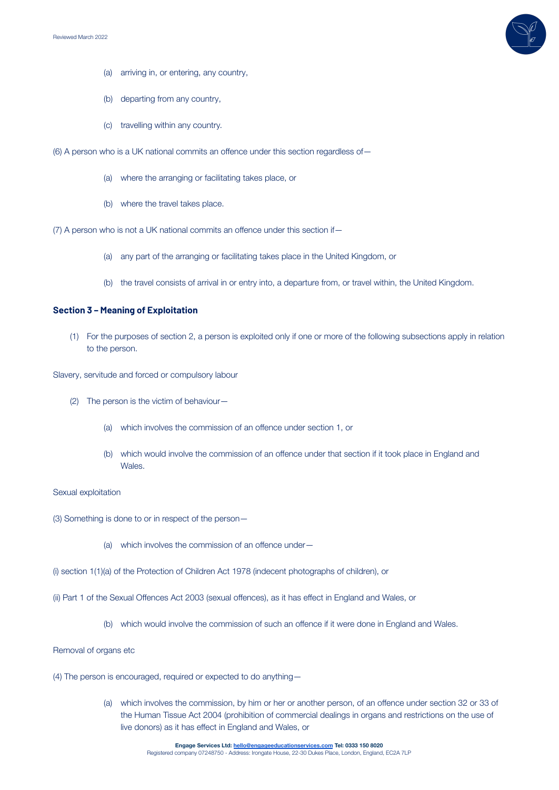

- (a) arriving in, or entering, any country,
- (b) departing from any country,
- (c) travelling within any country.
- (6) A person who is a UK national commits an offence under this section regardless of—
	- (a) where the arranging or facilitating takes place, or
	- (b) where the travel takes place.
- (7) A person who is not a UK national commits an offence under this section if—
	- (a) any part of the arranging or facilitating takes place in the United Kingdom, or
	- (b) the travel consists of arrival in or entry into, a departure from, or travel within, the United Kingdom.

#### **Section 3 – Meaning of Exploitation**

(1) For the purposes of section 2, a person is exploited only if one or more of the following subsections apply in relation to the person.

Slavery, servitude and forced or compulsory labour

- (2) The person is the victim of behaviour—
	- (a) which involves the commission of an offence under section 1, or
	- (b) which would involve the commission of an offence under that section if it took place in England and Wales.

#### Sexual exploitation

- (3) Something is done to or in respect of the person—
	- (a) which involves the commission of an offence under—
- (i) section 1(1)(a) of the Protection of Children Act 1978 (indecent photographs of children), or
- (ii) Part 1 of the Sexual Offences Act 2003 (sexual offences), as it has effect in England and Wales, or
	- (b) which would involve the commission of such an offence if it were done in England and Wales.

Removal of organs etc

- (4) The person is encouraged, required or expected to do anything—
	- (a) which involves the commission, by him or her or another person, of an offence under section 32 or 33 of the Human Tissue Act 2004 (prohibition of commercial dealings in organs and restrictions on the use of live donors) as it has effect in England and Wales, or